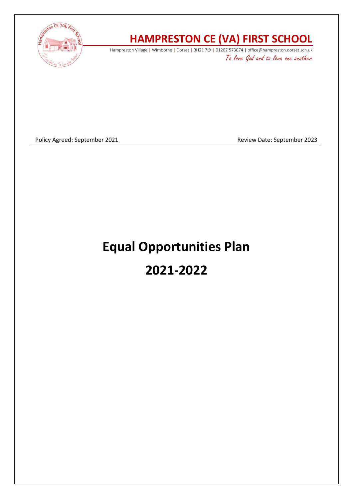

# **HAMPRESTON CE (VA) FIRST SCHOOL**

Hampreston Village | Wimborne | Dorset | BH21 7LX | 01202 573074 | office@hampreston.dorset.sch.uk To love God and to love one another

Policy Agreed: September 2021 and a september 2023

# **Equal Opportunities Plan 2021-2022**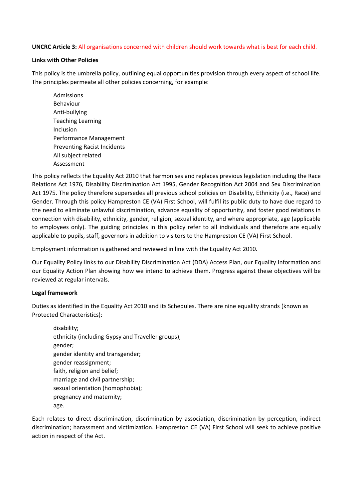# **UNCRC Article 3:** All organisations concerned with children should work towards what is best for each child.

#### **Links with Other Policies**

This policy is the umbrella policy, outlining equal opportunities provision through every aspect of school life. The principles permeate all other policies concerning, for example:

Admissions Behaviour Anti-bullying Teaching Learning Inclusion Performance Management Preventing Racist Incidents All subject related Assessment

This policy reflects the Equality Act 2010 that harmonises and replaces previous legislation including the Race Relations Act 1976, Disability Discrimination Act 1995, Gender Recognition Act 2004 and Sex Discrimination Act 1975. The policy therefore supersedes all previous school policies on Disability, Ethnicity (i.e., Race) and Gender. Through this policy Hampreston CE (VA) First School, will fulfil its public duty to have due regard to the need to eliminate unlawful discrimination, advance equality of opportunity, and foster good relations in connection with disability, ethnicity, gender, religion, sexual identity, and where appropriate, age (applicable to employees only). The guiding principles in this policy refer to all individuals and therefore are equally applicable to pupils, staff, governors in addition to visitors to the Hampreston CE (VA) First School.

Employment information is gathered and reviewed in line with the Equality Act 2010.

Our Equality Policy links to our Disability Discrimination Act (DDA) Access Plan, our Equality Information and our Equality Action Plan showing how we intend to achieve them. Progress against these objectives will be reviewed at regular intervals.

# **Legal framework**

Duties as identified in the Equality Act 2010 and its Schedules. There are nine equality strands (known as Protected Characteristics):

disability; ethnicity (including Gypsy and Traveller groups); gender; gender identity and transgender; gender reassignment; faith, religion and belief; marriage and civil partnership; sexual orientation (homophobia); pregnancy and maternity; age.

Each relates to direct discrimination, discrimination by association, discrimination by perception, indirect discrimination; harassment and victimization. Hampreston CE (VA) First School will seek to achieve positive action in respect of the Act.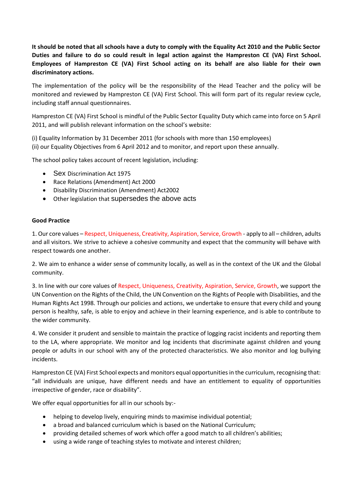**It should be noted that all schools have a duty to comply with the Equality Act 2010 and the Public Sector Duties and failure to do so could result in legal action against the Hampreston CE (VA) First School. Employees of Hampreston CE (VA) First School acting on its behalf are also liable for their own discriminatory actions.** 

The implementation of the policy will be the responsibility of the Head Teacher and the policy will be monitored and reviewed by Hampreston CE (VA) First School. This will form part of its regular review cycle, including staff annual questionnaires.

Hampreston CE (VA) First School is mindful of the Public Sector Equality Duty which came into force on 5 April 2011, and will publish relevant information on the school's website:

(i) Equality Information by 31 December 2011 (for schools with more than 150 employees) (ii) our Equality Objectives from 6 April 2012 and to monitor, and report upon these annually.

The school policy takes account of recent legislation, including:

- Sex Discrimination Act 1975
- Race Relations (Amendment) Act 2000
- Disability Discrimination (Amendment) Act2002
- Other legislation that supersedes the above acts

#### **Good Practice**

1. Our core values – Respect, Uniqueness, Creativity, Aspiration, Service, Growth - apply to all – children, adults and all visitors. We strive to achieve a cohesive community and expect that the community will behave with respect towards one another.

2. We aim to enhance a wider sense of community locally, as well as in the context of the UK and the Global community.

3. In line with our core values of Respect, Uniqueness, Creativity, Aspiration, Service, Growth, we support the UN Convention on the Rights of the Child, the UN Convention on the Rights of People with Disabilities, and the Human Rights Act 1998. Through our policies and actions, we undertake to ensure that every child and young person is healthy, safe, is able to enjoy and achieve in their learning experience, and is able to contribute to the wider community.

4. We consider it prudent and sensible to maintain the practice of logging racist incidents and reporting them to the LA, where appropriate. We monitor and log incidents that discriminate against children and young people or adults in our school with any of the protected characteristics. We also monitor and log bullying incidents.

Hampreston CE (VA) First School expects and monitors equal opportunities in the curriculum, recognising that: "all individuals are unique, have different needs and have an entitlement to equality of opportunities irrespective of gender, race or disability".

We offer equal opportunities for all in our schools by:-

- helping to develop lively, enquiring minds to maximise individual potential;
- a broad and balanced curriculum which is based on the National Curriculum;
- providing detailed schemes of work which offer a good match to all children's abilities;
- using a wide range of teaching styles to motivate and interest children;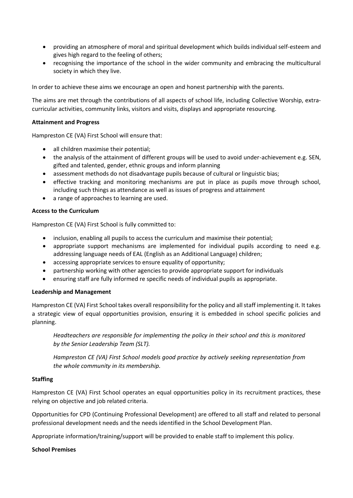- providing an atmosphere of moral and spiritual development which builds individual self-esteem and gives high regard to the feeling of others;
- recognising the importance of the school in the wider community and embracing the multicultural society in which they live.

In order to achieve these aims we encourage an open and honest partnership with the parents.

The aims are met through the contributions of all aspects of school life, including Collective Worship, extracurricular activities, community links, visitors and visits, displays and appropriate resourcing.

# **Attainment and Progress**

Hampreston CE (VA) First School will ensure that:

- all children maximise their potential;
- the analysis of the attainment of different groups will be used to avoid under-achievement e.g. SEN, gifted and talented, gender, ethnic groups and inform planning
- assessment methods do not disadvantage pupils because of cultural or linguistic bias;
- effective tracking and monitoring mechanisms are put in place as pupils move through school, including such things as attendance as well as issues of progress and attainment
- a range of approaches to learning are used.

# **Access to the Curriculum**

Hampreston CE (VA) First School is fully committed to:

- inclusion, enabling all pupils to access the curriculum and maximise their potential;
- appropriate support mechanisms are implemented for individual pupils according to need e.g. addressing language needs of EAL (English as an Additional Language) children;
- accessing appropriate services to ensure equality of opportunity;
- partnership working with other agencies to provide appropriate support for individuals
- ensuring staff are fully informed re specific needs of individual pupils as appropriate.

# **Leadership and Management**

Hampreston CE (VA) First School takes overall responsibility for the policy and all staff implementing it. It takes a strategic view of equal opportunities provision, ensuring it is embedded in school specific policies and planning.

*Headteachers are responsible for implementing the policy in their school and this is monitored by the Senior Leadership Team (SLT).* 

*Hampreston CE (VA) First School models good practice by actively seeking representation from the whole community in its membership.* 

# **Staffing**

Hampreston CE (VA) First School operates an equal opportunities policy in its recruitment practices, these relying on objective and job related criteria.

Opportunities for CPD (Continuing Professional Development) are offered to all staff and related to personal professional development needs and the needs identified in the School Development Plan.

Appropriate information/training/support will be provided to enable staff to implement this policy.

# **School Premises**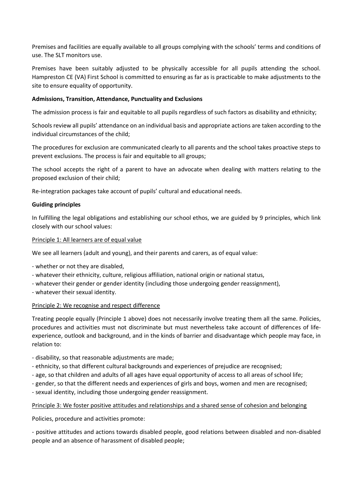Premises and facilities are equally available to all groups complying with the schools' terms and conditions of use. The SLT monitors use.

Premises have been suitably adjusted to be physically accessible for all pupils attending the school. Hampreston CE (VA) First School is committed to ensuring as far as is practicable to make adjustments to the site to ensure equality of opportunity.

# **Admissions, Transition, Attendance, Punctuality and Exclusions**

The admission process is fair and equitable to all pupils regardless of such factors as disability and ethnicity;

Schools review all pupils' attendance on an individual basis and appropriate actions are taken according to the individual circumstances of the child;

The procedures for exclusion are communicated clearly to all parents and the school takes proactive steps to prevent exclusions. The process is fair and equitable to all groups;

The school accepts the right of a parent to have an advocate when dealing with matters relating to the proposed exclusion of their child;

Re-integration packages take account of pupils' cultural and educational needs.

# **Guiding principles**

In fulfilling the legal obligations and establishing our school ethos, we are guided by 9 principles, which link closely with our school values:

# Principle 1: All learners are of equal value

We see all learners (adult and young), and their parents and carers, as of equal value:

- whether or not they are disabled,

- whatever their ethnicity, culture, religious affiliation, national origin or national status,
- whatever their gender or gender identity (including those undergoing gender reassignment),
- whatever their sexual identity.

# Principle 2: We recognise and respect difference

Treating people equally (Principle 1 above) does not necessarily involve treating them all the same. Policies, procedures and activities must not discriminate but must nevertheless take account of differences of lifeexperience, outlook and background, and in the kinds of barrier and disadvantage which people may face, in relation to:

- disability, so that reasonable adjustments are made;
- ethnicity, so that different cultural backgrounds and experiences of prejudice are recognised;
- age, so that children and adults of all ages have equal opportunity of access to all areas of school life;
- gender, so that the different needs and experiences of girls and boys, women and men are recognised;
- sexual identity, including those undergoing gender reassignment.

# Principle 3: We foster positive attitudes and relationships and a shared sense of cohesion and belonging

Policies, procedure and activities promote:

- positive attitudes and actions towards disabled people, good relations between disabled and non-disabled people and an absence of harassment of disabled people;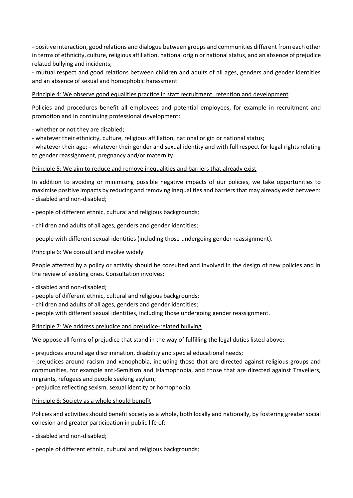- positive interaction, good relations and dialogue between groups and communities different from each other in terms of ethnicity, culture, religious affiliation, national origin or national status, and an absence of prejudice related bullying and incidents;

- mutual respect and good relations between children and adults of all ages, genders and gender identities and an absence of sexual and homophobic harassment.

# Principle 4: We observe good equalities practice in staff recruitment, retention and development

Policies and procedures benefit all employees and potential employees, for example in recruitment and promotion and in continuing professional development:

- whether or not they are disabled;

- whatever their ethnicity, culture, religious affiliation, national origin or national status;

- whatever their age; - whatever their gender and sexual identity and with full respect for legal rights relating to gender reassignment, pregnancy and/or maternity.

# Principle 5: We aim to reduce and remove inequalities and barriers that already exist

In addition to avoiding or minimising possible negative impacts of our policies, we take opportunities to maximise positive impacts by reducing and removing inequalities and barriers that may already exist between: - disabled and non-disabled;

- people of different ethnic, cultural and religious backgrounds;

- children and adults of all ages, genders and gender identities;
- people with different sexual identities (including those undergoing gender reassignment).

# Principle 6: We consult and involve widely

People affected by a policy or activity should be consulted and involved in the design of new policies and in the review of existing ones. Consultation involves:

- disabled and non-disabled;
- people of different ethnic, cultural and religious backgrounds;
- children and adults of all ages, genders and gender identities;
- people with different sexual identities, including those undergoing gender reassignment.

# Principle 7: We address prejudice and prejudice-related bullying

We oppose all forms of prejudice that stand in the way of fulfilling the legal duties listed above:

- prejudices around age discrimination, disability and special educational needs;

- prejudices around racism and xenophobia, including those that are directed against religious groups and communities, for example anti-Semitism and Islamophobia, and those that are directed against Travellers, migrants, refugees and people seeking asylum;

- prejudice reflecting sexism, sexual identity or homophobia.

# Principle 8: Society as a whole should benefit

Policies and activities should benefit society as a whole, both locally and nationally, by fostering greater social cohesion and greater participation in public life of:

- disabled and non-disabled;
- people of different ethnic, cultural and religious backgrounds;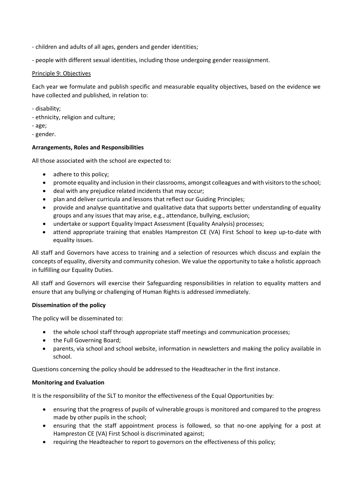- children and adults of all ages, genders and gender identities;
- people with different sexual identities, including those undergoing gender reassignment.

# Principle 9: Objectives

Each year we formulate and publish specific and measurable equality objectives, based on the evidence we have collected and published, in relation to:

- disability;
- ethnicity, religion and culture;
- age;
- gender.

# **Arrangements, Roles and Responsibilities**

All those associated with the school are expected to:

- adhere to this policy;
- promote equality and inclusion in their classrooms, amongst colleagues and with visitors to the school;
- deal with any prejudice related incidents that may occur;
- plan and deliver curricula and lessons that reflect our Guiding Principles;
- provide and analyse quantitative and qualitative data that supports better understanding of equality groups and any issues that may arise, e.g., attendance, bullying, exclusion;
- undertake or support Equality Impact Assessment (Equality Analysis) processes;
- attend appropriate training that enables Hampreston CE (VA) First School to keep up-to-date with equality issues.

All staff and Governors have access to training and a selection of resources which discuss and explain the concepts of equality, diversity and community cohesion. We value the opportunity to take a holistic approach in fulfilling our Equality Duties.

All staff and Governors will exercise their Safeguarding responsibilities in relation to equality matters and ensure that any bullying or challenging of Human Rights is addressed immediately.

# **Dissemination of the policy**

The policy will be disseminated to:

- the whole school staff through appropriate staff meetings and communication processes;
- the Full Governing Board;
- parents, via school and school website, information in newsletters and making the policy available in school.

Questions concerning the policy should be addressed to the Headteacher in the first instance.

# **Monitoring and Evaluation**

It is the responsibility of the SLT to monitor the effectiveness of the Equal Opportunities by:

- ensuring that the progress of pupils of vulnerable groups is monitored and compared to the progress made by other pupils in the school;
- ensuring that the staff appointment process is followed, so that no-one applying for a post at Hampreston CE (VA) First School is discriminated against;
- requiring the Headteacher to report to governors on the effectiveness of this policy;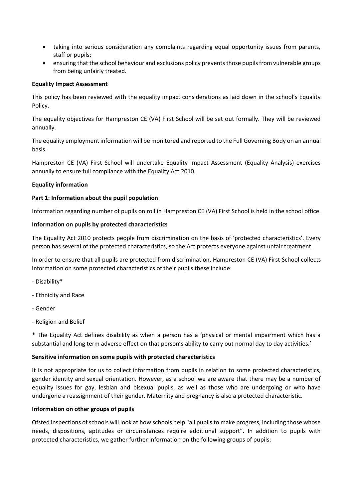- taking into serious consideration any complaints regarding equal opportunity issues from parents, staff or pupils;
- ensuring that the school behaviour and exclusions policy prevents those pupils from vulnerable groups from being unfairly treated.

# **Equality Impact Assessment**

This policy has been reviewed with the equality impact considerations as laid down in the school's Equality Policy.

The equality objectives for Hampreston CE (VA) First School will be set out formally. They will be reviewed annually.

The equality employment information will be monitored and reported to the Full Governing Body on an annual basis.

Hampreston CE (VA) First School will undertake Equality Impact Assessment (Equality Analysis) exercises annually to ensure full compliance with the Equality Act 2010.

# **Equality information**

# **Part 1: Information about the pupil population**

Information regarding number of pupils on roll in Hampreston CE (VA) First School is held in the school office.

# **Information on pupils by protected characteristics**

The Equality Act 2010 protects people from discrimination on the basis of 'protected characteristics'. Every person has several of the protected characteristics, so the Act protects everyone against unfair treatment.

In order to ensure that all pupils are protected from discrimination, Hampreston CE (VA) First School collects information on some protected characteristics of their pupils these include:

- Disability\*
- Ethnicity and Race
- Gender
- Religion and Belief

\* The Equality Act defines disability as when a person has a 'physical or mental impairment which has a substantial and long term adverse effect on that person's ability to carry out normal day to day activities.'

# **Sensitive information on some pupils with protected characteristics**

It is not appropriate for us to collect information from pupils in relation to some protected characteristics, gender identity and sexual orientation. However, as a school we are aware that there may be a number of equality issues for gay, lesbian and bisexual pupils, as well as those who are undergoing or who have undergone a reassignment of their gender. Maternity and pregnancy is also a protected characteristic.

# **Information on other groups of pupils**

Ofsted inspections of schools will look at how schools help "all pupils to make progress, including those whose needs, dispositions, aptitudes or circumstances require additional support". In addition to pupils with protected characteristics, we gather further information on the following groups of pupils: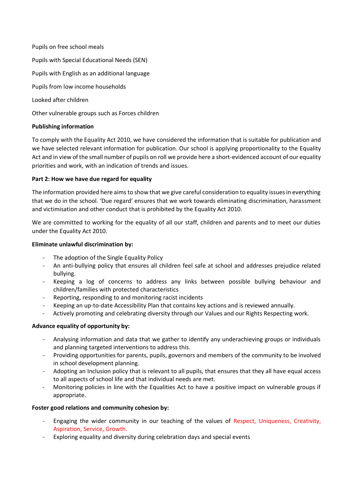Pupils on free school meals Pupils with Special Educational Needs (SEN) Pupils with English as an additional language Pupils from low income households Looked after children

Other vulnerable groups such as Forces children

# **Publishing information**

To comply with the Equality Act 2010, we have considered the information that is suitable for publication and we have selected relevant information for publication. Our school is applying proportionality to the Equality Act and in view of the small number of pupils on roll we provide here a short-evidenced account of our equality priorities and work, with an indication of trends and issues.

# **Part 2: How we have due regard for equality**

The information provided here aims to show that we give careful consideration to equality issues in everything that we do in the school. 'Due regard' ensures that we work towards eliminating discrimination, harassment and victimisation and other conduct that is prohibited by the Equality Act 2010.

We are committed to working for the equality of all our staff, children and parents and to meet our duties under the Equality Act 2010.

# **Eliminate unlawful discrimination by:**

- The adoption of the Single Equality Policy
- An anti-bullying policy that ensures all children feel safe at school and addresses prejudice related bullying.
- Keeping a log of concerns to address any links between possible bullying behaviour and children/families with protected characteristics
- Reporting, responding to and monitoring racist incidents
- Keeping an up-to-date Accessibility Plan that contains key actions and is reviewed annually.
- Actively promoting and celebrating diversity through our Values and our Rights Respecting work.

# **Advance equality of opportunity by:**

- Analysing information and data that we gather to identify any underachieving groups or individuals and planning targeted interventions to address this.
- Providing opportunities for parents, pupils, governors and members of the community to be involved in school development planning.
- Adopting an Inclusion policy that is relevant to all pupils, that ensures that they all have equal access to all aspects of school life and that individual needs are met.
- Monitoring policies in line with the Equalities Act to have a positive impact on vulnerable groups if appropriate.

# **Foster good relations and community cohesion by:**

- Engaging the wider community in our teaching of the values of Respect, Uniqueness, Creativity, Aspiration, Service, Growth.
- Exploring equality and diversity during celebration days and special events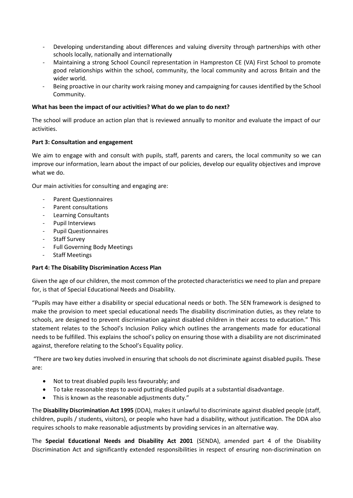- Developing understanding about differences and valuing diversity through partnerships with other schools locally, nationally and internationally
- Maintaining a strong School Council representation in Hampreston CE (VA) First School to promote good relationships within the school, community, the local community and across Britain and the wider world.
- Being proactive in our charity work raising money and campaigning for causes identified by the School Community.

# **What has been the impact of our activities? What do we plan to do next?**

The school will produce an action plan that is reviewed annually to monitor and evaluate the impact of our activities.

# **Part 3: Consultation and engagement**

We aim to engage with and consult with pupils, staff, parents and carers, the local community so we can improve our information, learn about the impact of our policies, develop our equality objectives and improve what we do.

Our main activities for consulting and engaging are:

- Parent Questionnaires
- Parent consultations
- Learning Consultants
- Pupil Interviews
- Pupil Questionnaires
- Staff Survey
- Full Governing Body Meetings
- Staff Meetings

# **Part 4: The Disability Discrimination Access Plan**

Given the age of our children, the most common of the protected characteristics we need to plan and prepare for, is that of Special Educational Needs and Disability.

"Pupils may have either a disability or special educational needs or both. The SEN framework is designed to make the provision to meet special educational needs The disability discrimination duties, as they relate to schools, are designed to prevent discrimination against disabled children in their access to education." This statement relates to the School's Inclusion Policy which outlines the arrangements made for educational needs to be fulfilled. This explains the school's policy on ensuring those with a disability are not discriminated against, therefore relating to the School's Equality policy.

"There are two key duties involved in ensuring that schools do not discriminate against disabled pupils. These are:

- Not to treat disabled pupils less favourably; and
- To take reasonable steps to avoid putting disabled pupils at a substantial disadvantage.
- This is known as the reasonable adjustments duty."

The **Disability Discrimination Act 1995** (DDA), makes it unlawful to discriminate against disabled people (staff, children, pupils / students, visitors), or people who have had a disability, without justification. The DDA also requires schools to make reasonable adjustments by providing services in an alternative way.

The **Special Educational Needs and Disability Act 2001** (SENDA), amended part 4 of the Disability Discrimination Act and significantly extended responsibilities in respect of ensuring non-discrimination on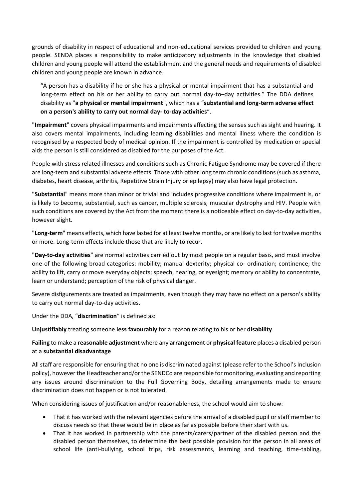grounds of disability in respect of educational and non-educational services provided to children and young people. SENDA places a responsibility to make anticipatory adjustments in the knowledge that disabled children and young people will attend the establishment and the general needs and requirements of disabled children and young people are known in advance.

"A person has a disability if he or she has a physical or mental impairment that has a substantial and long-term effect on his or her ability to carry out normal day-to–day activities." The DDA defines disability as "**a physical or mental impairment**", which has a "**substantial and long-term adverse effect on a person's ability to carry out normal day- to-day activities**".

"**Impairment**" covers physical impairments and impairments affecting the senses such as sight and hearing. It also covers mental impairments, including learning disabilities and mental illness where the condition is recognised by a respected body of medical opinion. If the impairment is controlled by medication or special aids the person is still considered as disabled for the purposes of the Act.

People with stress related illnesses and conditions such as Chronic Fatigue Syndrome may be covered if there are long-term and substantial adverse effects. Those with other long term chronic conditions (such as asthma, diabetes, heart disease, arthritis, Repetitive Strain Injury or epilepsy) may also have legal protection.

"**Substantial**" means more than minor or trivial and includes progressive conditions where impairment is, or is likely to become, substantial, such as cancer, multiple sclerosis, muscular dystrophy and HIV. People with such conditions are covered by the Act from the moment there is a noticeable effect on day-to-day activities, however slight.

"**Long-term**" means effects, which have lasted for at least twelve months, or are likely to last for twelve months or more. Long-term effects include those that are likely to recur.

"**Day-to-day activities**" are normal activities carried out by most people on a regular basis, and must involve one of the following broad categories: mobility; manual dexterity; physical co- ordination; continence; the ability to lift, carry or move everyday objects; speech, hearing, or eyesight; memory or ability to concentrate, learn or understand; perception of the risk of physical danger.

Severe disfigurements are treated as impairments, even though they may have no effect on a person's ability to carry out normal day-to-day activities.

Under the DDA, "**discrimination**" is defined as:

**Unjustifiably** treating someone **less favourably** for a reason relating to his or her **disability**.

**Failing** to make a **reasonable adjustment** where any **arrangement** or **physical feature** places a disabled person at a **substantial disadvantage**

All staff are responsible for ensuring that no one is discriminated against (please refer to the School's Inclusion policy), however the Headteacher and/or the SENDCo are responsible for monitoring, evaluating and reporting any issues around discrimination to the Full Governing Body, detailing arrangements made to ensure discrimination does not happen or is not tolerated.

When considering issues of justification and/or reasonableness, the school would aim to show:

- That it has worked with the relevant agencies before the arrival of a disabled pupil or staff member to discuss needs so that these would be in place as far as possible before their start with us.
- That it has worked in partnership with the parents/carers/partner of the disabled person and the disabled person themselves, to determine the best possible provision for the person in all areas of school life (anti-bullying, school trips, risk assessments, learning and teaching, time-tabling,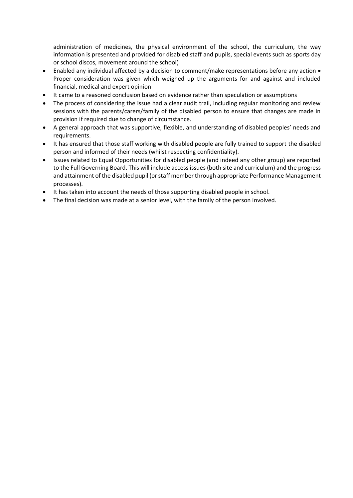administration of medicines, the physical environment of the school, the curriculum, the way information is presented and provided for disabled staff and pupils, special events such as sports day or school discos, movement around the school)

- Enabled any individual affected by a decision to comment/make representations before any action Proper consideration was given which weighed up the arguments for and against and included financial, medical and expert opinion
- It came to a reasoned conclusion based on evidence rather than speculation or assumptions
- The process of considering the issue had a clear audit trail, including regular monitoring and review sessions with the parents/carers/family of the disabled person to ensure that changes are made in provision if required due to change of circumstance.
- A general approach that was supportive, flexible, and understanding of disabled peoples' needs and requirements.
- It has ensured that those staff working with disabled people are fully trained to support the disabled person and informed of their needs (whilst respecting confidentiality).
- Issues related to Equal Opportunities for disabled people (and indeed any other group) are reported to the Full Governing Board. This will include access issues (both site and curriculum) and the progress and attainment of the disabled pupil (or staff member through appropriate Performance Management processes).
- It has taken into account the needs of those supporting disabled people in school.
- The final decision was made at a senior level, with the family of the person involved.